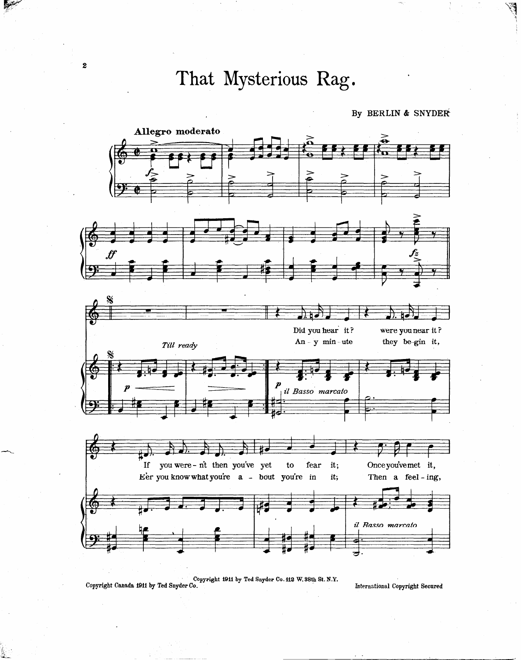That Mysterious Rag.

By BERLIN & SNYDER



Copyright 1911 by Ted Snyder Co. 112 W. 38th St. N.Y. Copyright Canada 1911 by Ted Snyder Co.

International Copyright Secured

 $\boldsymbol{2}$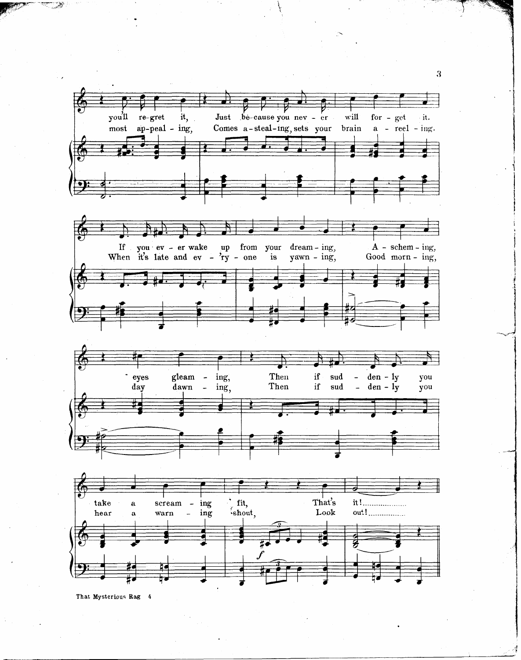

That Mysterious Rag 4

t

.

.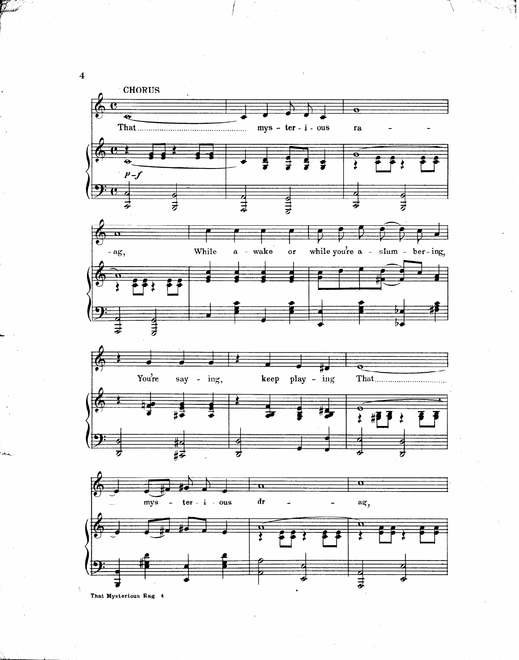

That Mysterious Rag 4

 $\overline{4}$